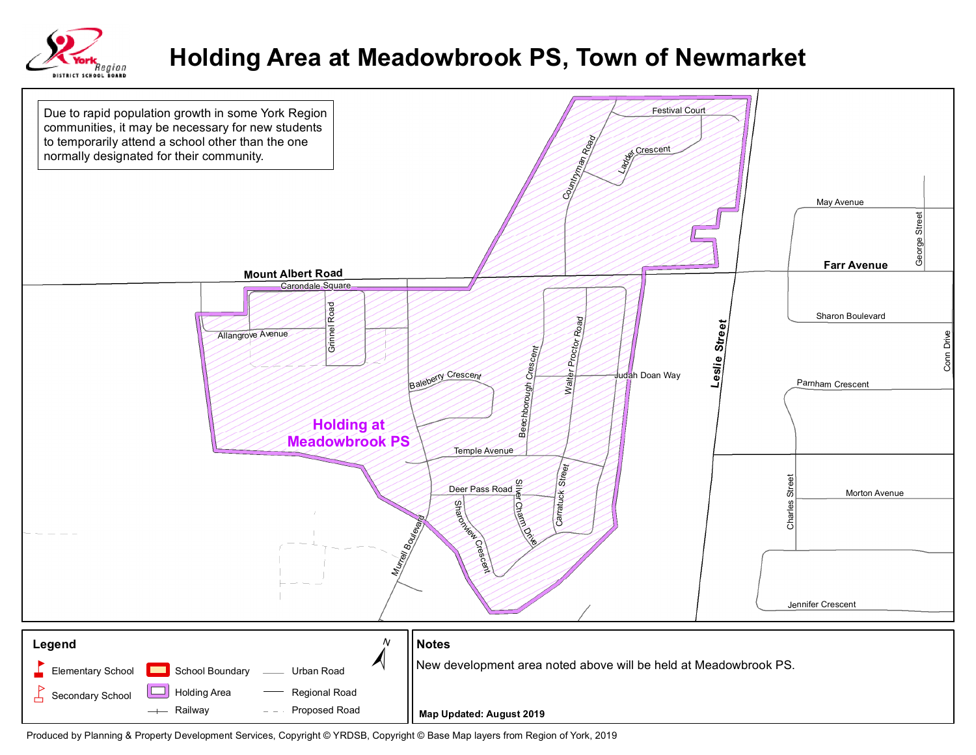

## **Holding Area at Meadowbrook PS, Town of Newmarket**



Produced by Planning & Property Development Services, Copyright © YRDSB, Copyright © Base Map layers from Region of York, 2019